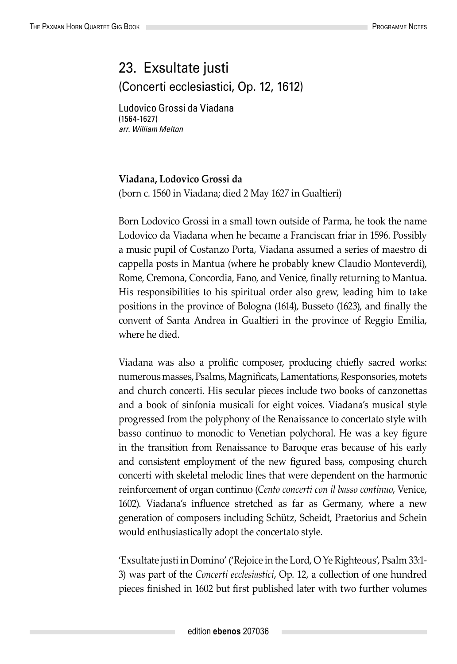## 23. Exsultate justi (Concerti ecclesiastici, Op. 12, 1612)

Ludovico Grossi da Viadana (1564-1627) *arr. William Melton*

## **Viadana, Lodovico Grossi da**

(born c. 1560 in Viadana; died 2 May 1627 in Gualtieri)

Born Lodovico Grossi in a small town outside of Parma, he took the name Lodovico da Viadana when he became a Franciscan friar in 1596. Possibly a music pupil of Costanzo Porta, Viadana assumed a series of maestro di cappella posts in Mantua (where he probably knew Claudio Monteverdi), Rome, Cremona, Concordia, Fano, and Venice, finally returning to Mantua. His responsibilities to his spiritual order also grew, leading him to take positions in the province of Bologna (1614), Busseto (1623), and finally the convent of Santa Andrea in Gualtieri in the province of Reggio Emilia, where he died.

Viadana was also a prolific composer, producing chiefly sacred works: numerous masses, Psalms, Magnificats, Lamentations, Responsories, motets and church concerti. His secular pieces include two books of canzonettas and a book of sinfonia musicali for eight voices. Viadana's musical style progressed from the polyphony of the Renaissance to concertato style with basso continuo to monodic to Venetian polychoral. He was a key figure in the transition from Renaissance to Baroque eras because of his early and consistent employment of the new figured bass, composing church concerti with skeletal melodic lines that were dependent on the harmonic reinforcement of organ continuo (*Cento concerti con il basso continuo*, Venice, 1602). Viadana's influence stretched as far as Germany, where a new generation of composers including Schütz, Scheidt, Praetorius and Schein would enthusiastically adopt the concertato style.

'Exsultate justi in Domino' ('Rejoice in the Lord, O Ye Righteous', Psalm 33:1- 3) was part of the *Concerti ecclesiastici*, Op. 12, a collection of one hundred pieces finished in 1602 but first published later with two further volumes